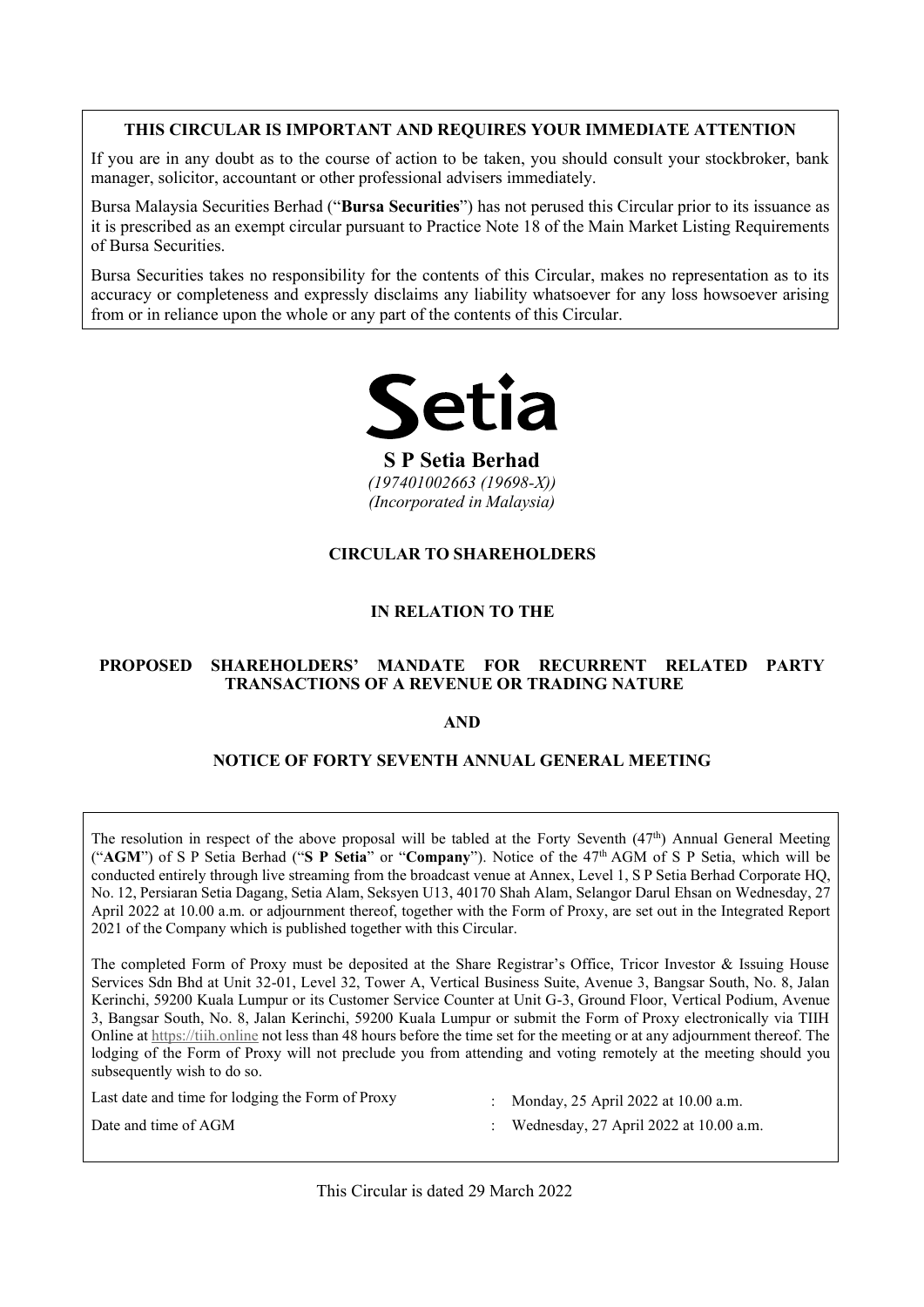#### THIS CIRCULAR IS IMPORTANT AND REQUIRES YOUR IMMEDIATE ATTENTION **THIS CIRCULAR IS IMPORTANT AND REQUIRES YOUR IMMEDIATE ATTENTION THIS CIRCULAR IS IMPORTANT AND REQUIRES YOUR IMMEDIATE ATTENTION THIS CIRCULAR IS IMPORTANT AND REQUIRES YOUR IMMEDIATE ATTENTION**

If you are in any doubt as to the course of action to be taken, you should consult your stockbroker, bank manager, solicitor, accountant or other professional advisers immediately. If you are in any doubt as to the course of action to be taken, you should consult your stockbroker, bank If you are in any doubt as to the course of action to be taken, you should consult your stockbroker, bank manager, solicitor, accountant or other professional advisers immediately. manager, solicitor, accountant or other professional advisers immediately.

Bursa Malaysia Securities Berhad ("**Bursa Securities**") has not perused this Circular prior to its issuance as it is prescribed as an exempt circular pursuant to Practice Note 18 of the Main Market Listing Requirements of Bursa Securities. of Bursa Securities. of Bursa Securities. bursa Securities takes no responsibility for the contents of this Circular, makes no representation as to its contents of the contents of the contents of the contents of the contents of the contents of the contents of the use Meleruis Compition Darked ("Druge Compition") has not aggreged this Cincular mights its increase on  $\frac{1}{2}$ it is prescribed as an exempt circular pursuant to Practice Note 19 of the Main Market Listing Requirements  $\frac{1}{2}$ 

Bursa Securities takes no responsibility for the contents of this Circular, makes no representation as to its accuracy or completeness and expressly disclaims any liability whatsoever for any loss howsoever arising accuracy or compresents and expressive discussions any nationally whatsoever for<br>from or in reliance upon the whole or any part of the contents of this Circular. Bursa Securities takes no responsibility for the contents of this Circular, makes no representation as to its Bursa Securities takes no responsibility for the contents of this Circular, makes no representation as to its accuracy or completeness and exponsionity for the contents of this Circular, makes no representation as to its



**S P Setia Berhad** *(197401002663 (19698-X)) (197401002663 (19698-X)) (197401002663 (19698-X)) (197401002663 (19698-X)) (Incorporated in Malaysia)* **S P Setia Berhad S P Setia Berhad S P Setia Berhad S P** *(Incorporated in Malaysia) (Incorporated in Malaysia) (Incorporated in Malaysia) (197401002663 (19698-X))(Incorporated* 

#### **CIRCULAR TO SHAREHOLDERS CIRCULAR TO SHAREHOLDERS CIRCULAR TO SHAREHOLDERS CIRCULAR TO SHAREHOLDERS**

#### **IN RELATION TO THE IN RELATION TO THE IN RELATION TO THE IN RELATION TO THE**

#### **PROPOSED** SHAREHOLDERS MANUSITE FOR RECORDERY RELATED FANS **TRANSACTIONS OF A REVENUE OR TRADING NATURE** PROPOSED SHAREHOLDERS' MANDATE FOR RECURRENT RELATED PARTY **TRANSACTIONS OF A REVENUE OR TRADING NATURE TRANSACTIONS OF A REVENUE OR TRADING NATURE TRANSACTIONS OF A REVENUE OR TRADING NATURE**

#### **AND AND AND AND**

# **NOTICE OF FORTY SEVENTH ANNUAL GENERAL MEETING** TRANSACTIONS OF A REVENUE OR TRADING NATURE<br>AND<br>NOTICE OF FORTY SEVENTH ANNUAL GENERAL MEETING

("AGM") of S P Setia Berhad ("S P Setia" or "Company"). Notice of the  $47<sup>th</sup>$  AGM of S P Setia, which will be conducted entirely through live streaming from the broadcast venue at Annex, Level 1, S P Setia Berhad Corporate HQ, No. 12, Persiaran Setia Dagang, Setia Alam, Seksyen U13, 40170 Shah Alam, Selangor Darul Ehsan on Wednesday, 27 April 2022 at 10.00 a.m. or adjournment thereof, together with the Form of Proxy, are set out in the Integrated Report 2021 of the Company which is published together with this Circular. The resolution in respect of the above proposal will be tabled at the Forty Seventh  $(47<sup>th</sup>)$  Annual General Meeting April 2022 at 10.00 a.m. or adjournment thereof, together with the Form of Proxy, are set out in the Integrated Report  $N. 12$ , Persiaran Setia Dagang, Setia Alam, Seksyen U13, 40170 Shah Alam, Selangor Darul Ehsan on Wednesday, 27 April 2022 at 10.00 a.m. or adjournment thereof, together with the Form of Froxy, are set out in the Integrated Report olution in respect of the above proposal will be tabled at **AGM** J of S P Setia Berhad (S P Setia of Company). Notice of the 47 AGM of S P Setia, we ucted entirely through live streaming from the broadcast venue at Annex, Level 1, S P Setia Berhad Co. 12, Persiaran Setia Dagang, S

Services Sdn Bhd at Unit 32-01, Level 32, Tower A, Vertical Business Suite, Avenue 3, Bangsar South, No. 8, Jalan Services Sdn Bhd at Unit 32-01, Level 32, Tower A, Vertical Business Suite, Avenue 3, Bangsar South, No. 8, Jalan Kerinchi, 59200 Kuala Lumpur or its Customer Service Counter at Unit G-3, Ground Floor, Vertical Podium, Ave 3, Bangsar South, No. 8, Jalan Kerinchi, 59200 Kuala Lumpur or submit the Form of Proxy electronically via TIIH Online at https://tiih.online not less than 48 hours before the time set for the meeting or at any adjournment thereof. The lodging of the Form of Proxy will not preclude you from attending and voting remotely at the meeting should you<br>subsequently wish to do so. subsequently wish to do so. The completed Form of Proxy must be deposited at the Share Registrar's Office, Tricor Investor & Issuing House THE GRECHLARE MPORTAIN AND BEOMINATE ATTENTION<br>The SECRIC LARE SIMPORTAIN AND BEOMS, then the state of the state of the state of the state of the state of the state of the state of the state of the state of the state of t

Last date and time for lodging the Form of Proxy : Monday, 25 April 2022 at 10.00 a.m.

st date and time for lodging the Form of Floxy : Monday,  $25$  April 2022 at 10.00 a.m.

Date and time of AGM : Wednesday, 27 April 2022 at 10.00 a.m.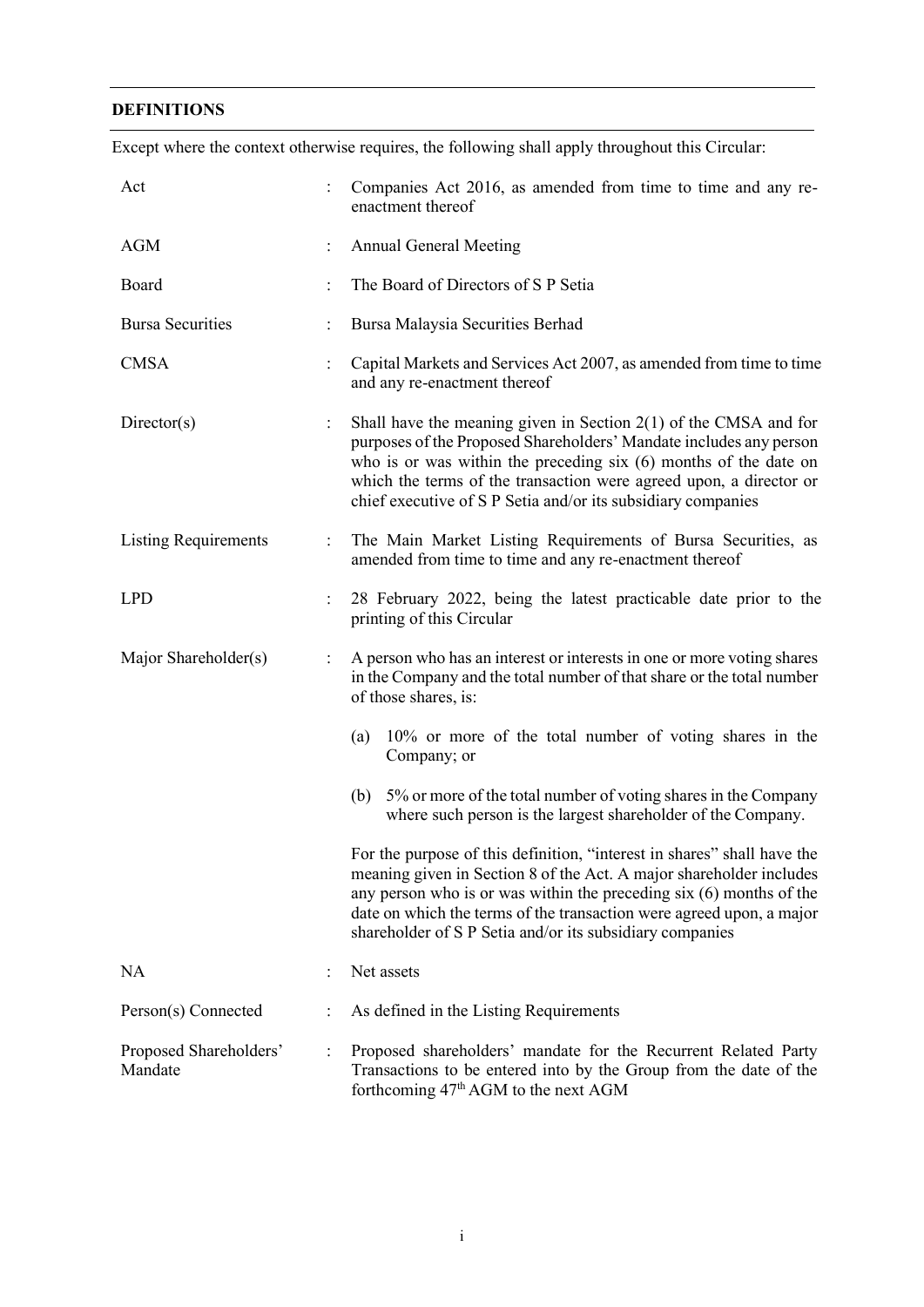## **DEFINITIONS**

| Act                               |                      | Companies Act 2016, as amended from time to time and any re-<br>enactment thereof                                                                                                                                                                                                                                                                          |  |  |  |  |  |
|-----------------------------------|----------------------|------------------------------------------------------------------------------------------------------------------------------------------------------------------------------------------------------------------------------------------------------------------------------------------------------------------------------------------------------------|--|--|--|--|--|
| AGM                               |                      | <b>Annual General Meeting</b>                                                                                                                                                                                                                                                                                                                              |  |  |  |  |  |
| Board                             |                      | The Board of Directors of S P Setia                                                                                                                                                                                                                                                                                                                        |  |  |  |  |  |
| <b>Bursa Securities</b>           | $\vdots$             | Bursa Malaysia Securities Berhad                                                                                                                                                                                                                                                                                                                           |  |  |  |  |  |
| <b>CMSA</b>                       | $\ddot{\cdot}$       | Capital Markets and Services Act 2007, as amended from time to time<br>and any re-enactment thereof                                                                                                                                                                                                                                                        |  |  |  |  |  |
| Directory(s)                      | $\ddot{\phantom{a}}$ | Shall have the meaning given in Section $2(1)$ of the CMSA and for<br>purposes of the Proposed Shareholders' Mandate includes any person<br>who is or was within the preceding $six(6)$ months of the date on<br>which the terms of the transaction were agreed upon, a director or<br>chief executive of S P Setia and/or its subsidiary companies        |  |  |  |  |  |
| <b>Listing Requirements</b>       | $\ddot{\phantom{a}}$ | The Main Market Listing Requirements of Bursa Securities, as<br>amended from time to time and any re-enactment thereof                                                                                                                                                                                                                                     |  |  |  |  |  |
| <b>LPD</b>                        | $\vdots$             | 28 February 2022, being the latest practicable date prior to the<br>printing of this Circular                                                                                                                                                                                                                                                              |  |  |  |  |  |
| Major Shareholder(s)              | $\vdots$             | A person who has an interest or interests in one or more voting shares<br>in the Company and the total number of that share or the total number<br>of those shares, is:                                                                                                                                                                                    |  |  |  |  |  |
|                                   |                      | 10% or more of the total number of voting shares in the<br>(a)<br>Company; or                                                                                                                                                                                                                                                                              |  |  |  |  |  |
|                                   |                      | (b) 5% or more of the total number of voting shares in the Company<br>where such person is the largest shareholder of the Company.                                                                                                                                                                                                                         |  |  |  |  |  |
|                                   |                      | For the purpose of this definition, "interest in shares" shall have the<br>meaning given in Section 8 of the Act. A major shareholder includes<br>any person who is or was within the preceding $six(6)$ months of the<br>date on which the terms of the transaction were agreed upon, a major<br>shareholder of S P Setia and/or its subsidiary companies |  |  |  |  |  |
| <b>NA</b>                         |                      | Net assets                                                                                                                                                                                                                                                                                                                                                 |  |  |  |  |  |
| Person(s) Connected               | $\ddot{\cdot}$       | As defined in the Listing Requirements                                                                                                                                                                                                                                                                                                                     |  |  |  |  |  |
| Proposed Shareholders'<br>Mandate | $\vdots$             | Proposed shareholders' mandate for the Recurrent Related Party<br>Transactions to be entered into by the Group from the date of the<br>forthcoming 47 <sup>th</sup> AGM to the next AGM                                                                                                                                                                    |  |  |  |  |  |

Except where the context otherwise requires, the following shall apply throughout this Circular: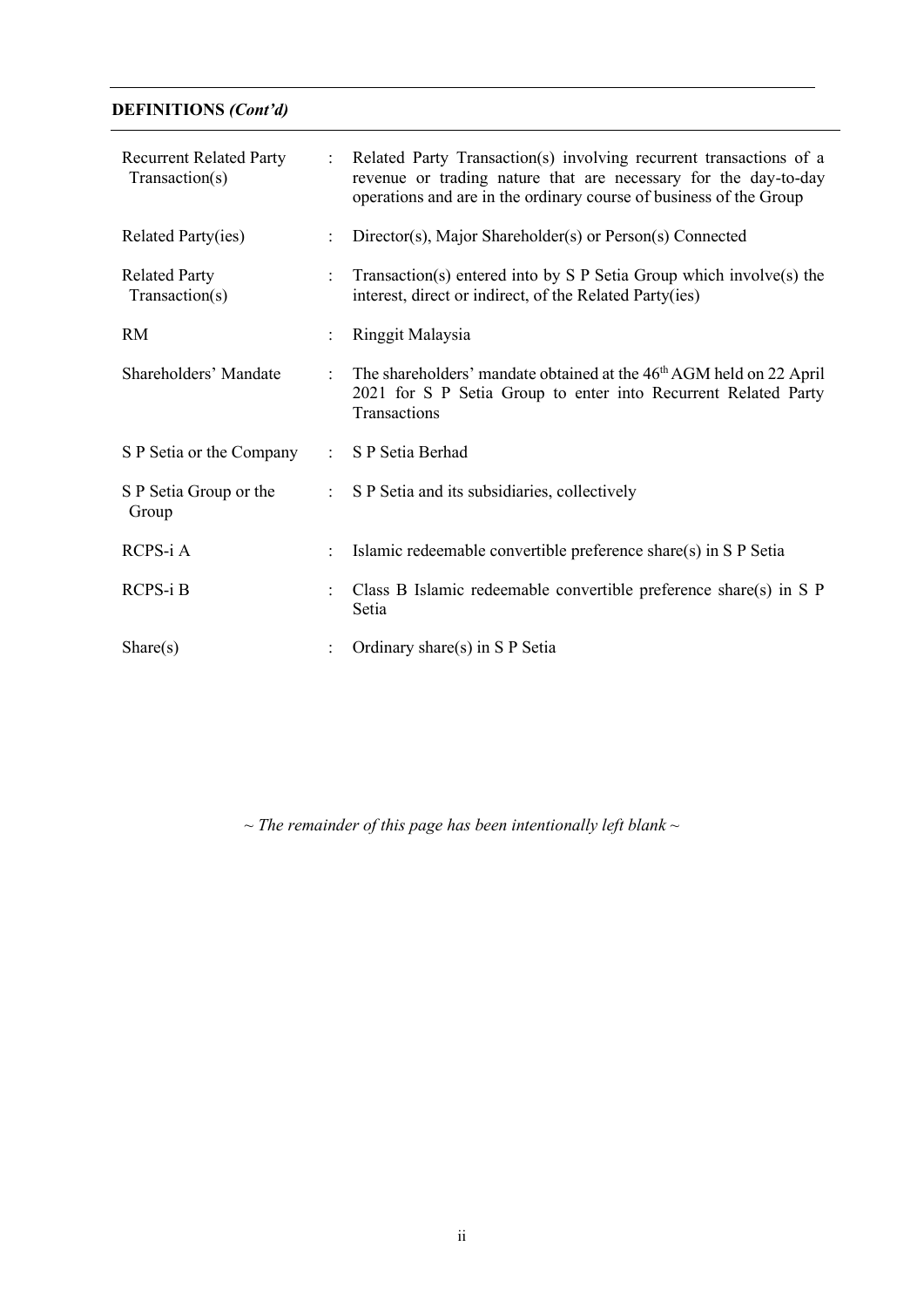## **DEFINITIONS** *(Cont'd)*

| <b>Recurrent Related Party</b><br>Transaction(s) | $\ddot{\cdot}$       | Related Party Transaction(s) involving recurrent transactions of a<br>revenue or trading nature that are necessary for the day-to-day<br>operations and are in the ordinary course of business of the Group |  |  |  |
|--------------------------------------------------|----------------------|-------------------------------------------------------------------------------------------------------------------------------------------------------------------------------------------------------------|--|--|--|
| Related Party(ies)                               | $\ddot{\cdot}$       | Director(s), Major Shareholder(s) or Person(s) Connected                                                                                                                                                    |  |  |  |
| <b>Related Party</b><br>Transaction(s)           | $\ddot{\phantom{a}}$ | Transaction(s) entered into by $S \cdot P$ Setia Group which involve(s) the<br>interest, direct or indirect, of the Related Party(ies)                                                                      |  |  |  |
| <b>RM</b>                                        | $\vdots$             | Ringgit Malaysia                                                                                                                                                                                            |  |  |  |
| Shareholders' Mandate                            | $\ddot{\cdot}$       | The shareholders' mandate obtained at the 46 <sup>th</sup> AGM held on 22 April<br>2021 for S P Setia Group to enter into Recurrent Related Party<br>Transactions                                           |  |  |  |
| S P Setia or the Company                         | $\ddot{\phantom{a}}$ | S P Setia Berhad                                                                                                                                                                                            |  |  |  |
| S P Setia Group or the<br>Group                  | $\ddot{\cdot}$       | S P Setia and its subsidiaries, collectively                                                                                                                                                                |  |  |  |
| $RCPS-i A$                                       | $\ddot{\cdot}$       | Islamic redeemable convertible preference share(s) in S P Setia                                                                                                                                             |  |  |  |
| $RCPS-1B$                                        |                      | Class B Islamic redeemable convertible preference share(s) in S $P$<br>Setia                                                                                                                                |  |  |  |
| Share(s)                                         | $\ddot{\phantom{a}}$ | Ordinary share(s) in S P Setia                                                                                                                                                                              |  |  |  |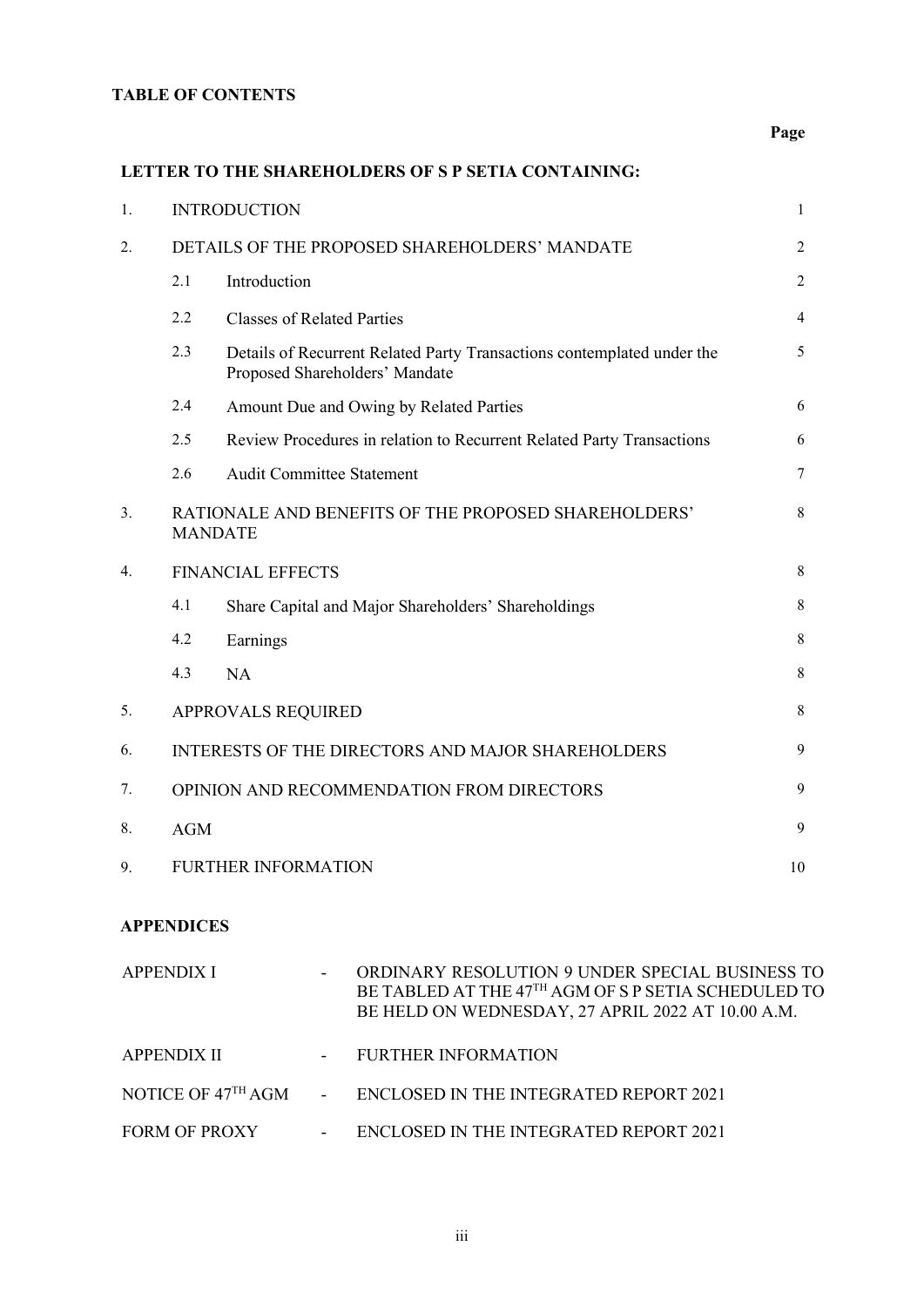## **TABLE OF CONTENTS**

## **Page**

## **LETTER TO THE SHAREHOLDERS OF S P SETIA CONTAINING:**

| 1. | <b>INTRODUCTION</b>                                                    |                                                                                                          |                |  |  |  |
|----|------------------------------------------------------------------------|----------------------------------------------------------------------------------------------------------|----------------|--|--|--|
| 2. |                                                                        | DETAILS OF THE PROPOSED SHAREHOLDERS' MANDATE                                                            | $\overline{2}$ |  |  |  |
|    | 2.1                                                                    | Introduction                                                                                             | $\overline{2}$ |  |  |  |
|    | 2.2                                                                    | <b>Classes of Related Parties</b>                                                                        | $\overline{4}$ |  |  |  |
|    | 2.3                                                                    | Details of Recurrent Related Party Transactions contemplated under the<br>Proposed Shareholders' Mandate | 5              |  |  |  |
|    | 2.4                                                                    | Amount Due and Owing by Related Parties                                                                  | 6              |  |  |  |
|    | 2.5                                                                    | Review Procedures in relation to Recurrent Related Party Transactions                                    | 6              |  |  |  |
|    | 2.6                                                                    | <b>Audit Committee Statement</b>                                                                         | $\tau$         |  |  |  |
| 3. | RATIONALE AND BENEFITS OF THE PROPOSED SHAREHOLDERS'<br><b>MANDATE</b> |                                                                                                          |                |  |  |  |
| 4. |                                                                        | <b>FINANCIAL EFFECTS</b>                                                                                 | 8              |  |  |  |
|    | 4.1                                                                    | Share Capital and Major Shareholders' Shareholdings                                                      | 8              |  |  |  |
|    | 4.2                                                                    | Earnings                                                                                                 | 8              |  |  |  |
|    | 4.3                                                                    | <b>NA</b>                                                                                                | 8              |  |  |  |
| 5. | <b>APPROVALS REQUIRED</b>                                              |                                                                                                          |                |  |  |  |
| 6. | INTERESTS OF THE DIRECTORS AND MAJOR SHAREHOLDERS                      |                                                                                                          |                |  |  |  |
| 7. | OPINION AND RECOMMENDATION FROM DIRECTORS                              |                                                                                                          |                |  |  |  |
| 8. | <b>AGM</b>                                                             |                                                                                                          |                |  |  |  |
| 9. | <b>FURTHER INFORMATION</b>                                             |                                                                                                          |                |  |  |  |
|    |                                                                        |                                                                                                          |                |  |  |  |

## **APPENDICES**

| APPENDIX I           | $\overline{\phantom{a}}$ | ORDINARY RESOLUTION 9 UNDER SPECIAL BUSINESS TO<br>BE TABLED AT THE 47 <sup>TH</sup> AGM OF S P SETIA SCHEDULED TO<br>BE HELD ON WEDNESDAY, 27 APRIL 2022 AT 10.00 A.M. |
|----------------------|--------------------------|-------------------------------------------------------------------------------------------------------------------------------------------------------------------------|
| <b>APPENDIX II</b>   |                          | - FURTHER INFORMATION                                                                                                                                                   |
|                      |                          | NOTICE OF 47 <sup>TH</sup> AGM - ENCLOSED IN THE INTEGRATED REPORT 2021                                                                                                 |
| <b>FORM OF PROXY</b> | $\sim 100$               | ENCLOSED IN THE INTEGRATED REPORT 2021                                                                                                                                  |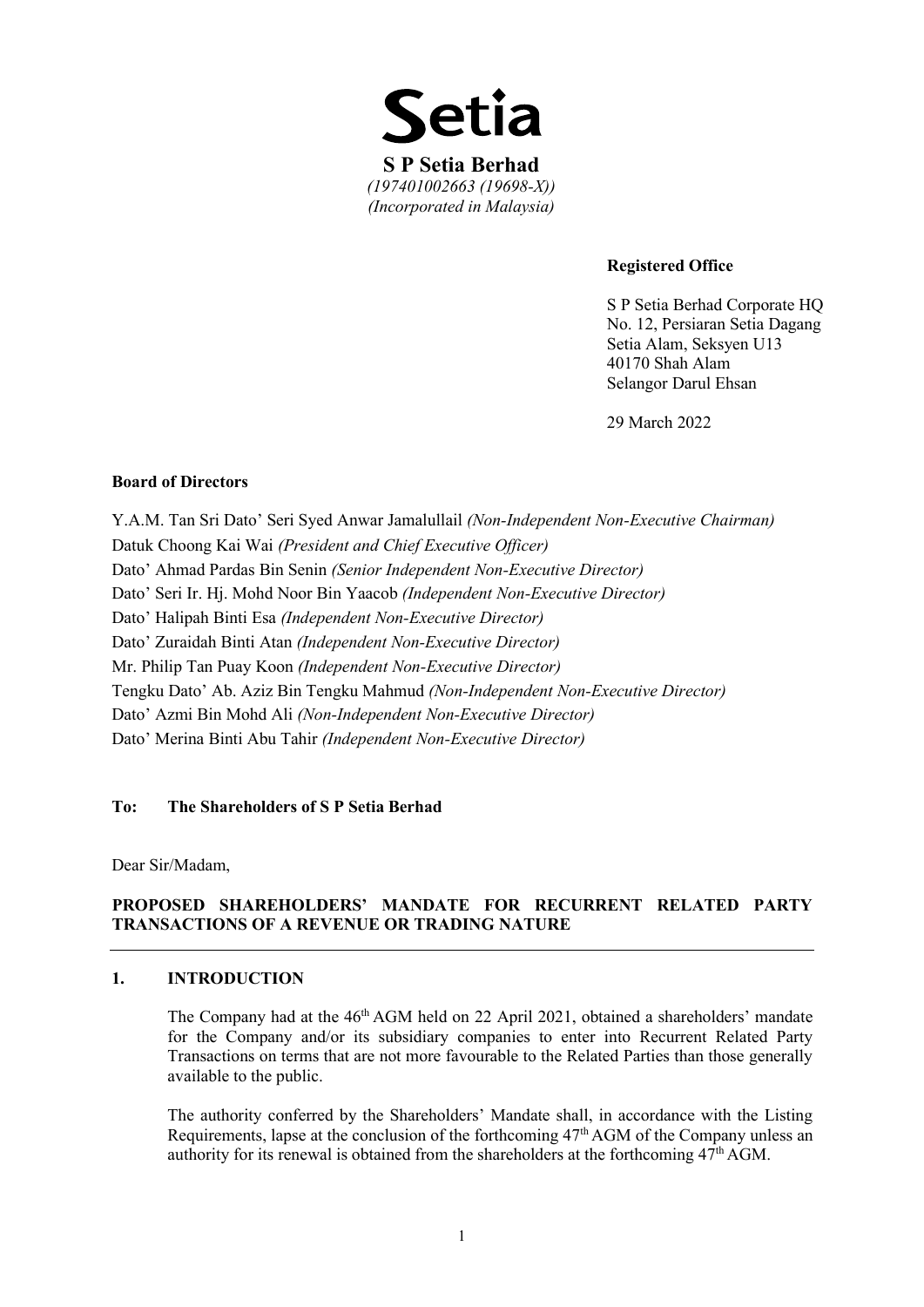

#### **Registered Office**

S P Setia Berhad Corporate HQ No. 12, Persiaran Setia Dagang Setia Alam, Seksyen U13 40170 Shah Alam Selangor Darul Ehsan

29 March 2022

#### **Board of Directors**

Y.A.M. Tan Sri Dato' Seri Syed Anwar Jamalullail *(Non-Independent Non-Executive Chairman)* Datuk Choong Kai Wai *(President and Chief Executive Officer)* Dato' Ahmad Pardas Bin Senin *(Senior Independent Non-Executive Director)*  Dato' Seri Ir. Hj. Mohd Noor Bin Yaacob *(Independent Non-Executive Director)*  Dato' Halipah Binti Esa *(Independent Non-Executive Director)* Dato' Zuraidah Binti Atan *(Independent Non-Executive Director)*  Mr. Philip Tan Puay Koon *(Independent Non-Executive Director)* Tengku Dato' Ab. Aziz Bin Tengku Mahmud *(Non-Independent Non-Executive Director)* Dato' Azmi Bin Mohd Ali *(Non-Independent Non-Executive Director)* Dato' Merina Binti Abu Tahir *(Independent Non-Executive Director)*

#### **To: The Shareholders of S P Setia Berhad**

Dear Sir/Madam,

#### **PROPOSED SHAREHOLDERS' MANDATE FOR RECURRENT RELATED PARTY TRANSACTIONS OF A REVENUE OR TRADING NATURE**

#### **1. INTRODUCTION**

The Company had at the 46<sup>th</sup> AGM held on 22 April 2021, obtained a shareholders' mandate for the Company and/or its subsidiary companies to enter into Recurrent Related Party Transactions on terms that are not more favourable to the Related Parties than those generally available to the public.

The authority conferred by the Shareholders' Mandate shall, in accordance with the Listing Requirements, lapse at the conclusion of the forthcoming 47<sup>th</sup> AGM of the Company unless an authority for its renewal is obtained from the shareholders at the forthcoming  $47<sup>th</sup>$  AGM.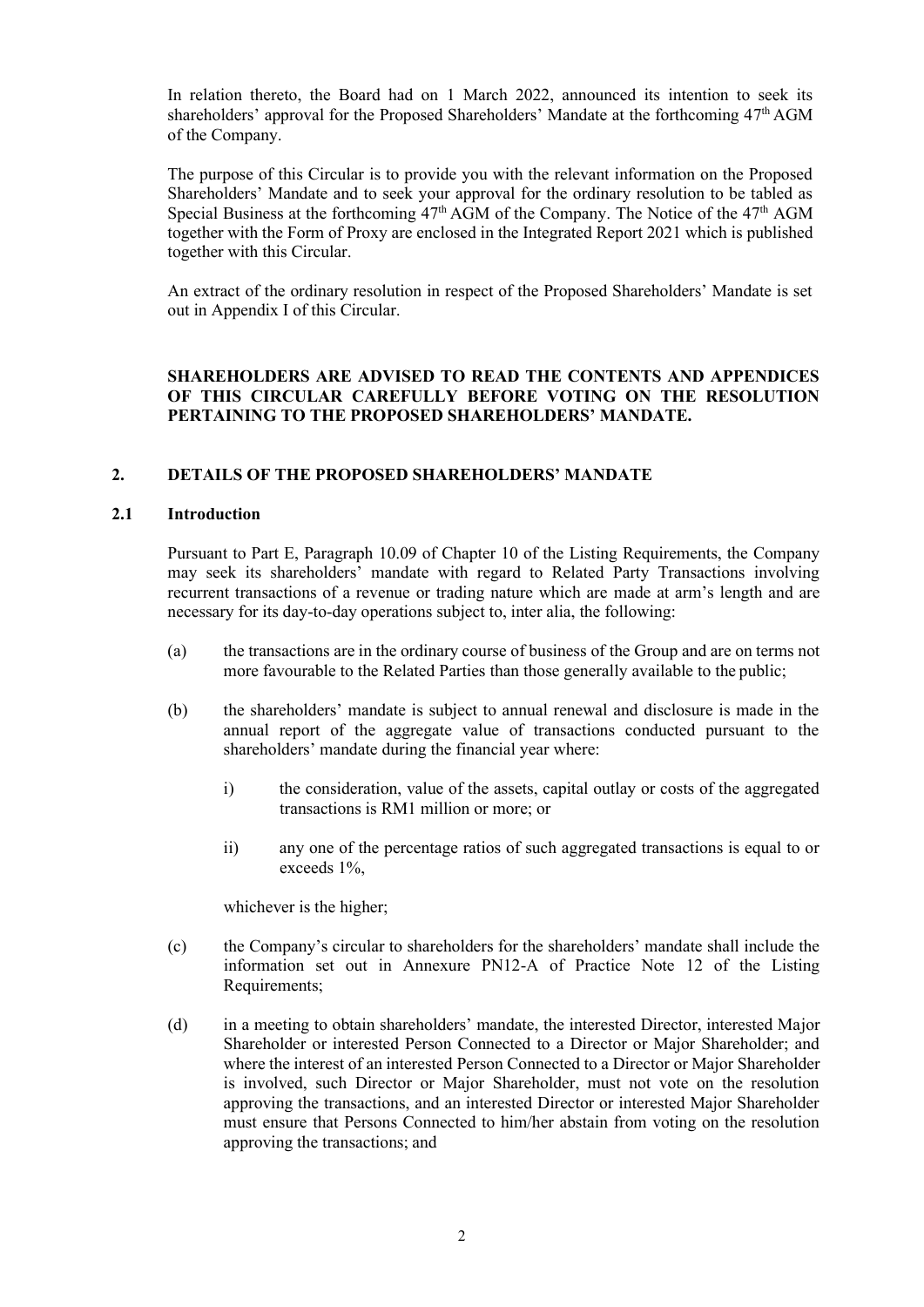In relation thereto, the Board had on 1 March 2022, announced its intention to seek its shareholders' approval for the Proposed Shareholders' Mandate at the forthcoming 47<sup>th</sup> AGM of the Company.

The purpose of this Circular is to provide you with the relevant information on the Proposed Shareholders' Mandate and to seek your approval for the ordinary resolution to be tabled as Special Business at the forthcoming  $47<sup>th</sup>$  AGM of the Company. The Notice of the  $47<sup>th</sup>$  AGM together with the Form of Proxy are enclosed in the Integrated Report 2021 which is published together with this Circular.

An extract of the ordinary resolution in respect of the Proposed Shareholders' Mandate is set out in Appendix I of this Circular.

### **SHAREHOLDERS ARE ADVISED TO READ THE CONTENTS AND APPENDICES OF THIS CIRCULAR CAREFULLY BEFORE VOTING ON THE RESOLUTION PERTAINING TO THE PROPOSED SHAREHOLDERS' MANDATE.**

#### **2. DETAILS OF THE PROPOSED SHAREHOLDERS' MANDATE**

#### **2.1 Introduction**

Pursuant to Part E, Paragraph 10.09 of Chapter 10 of the Listing Requirements, the Company may seek its shareholders' mandate with regard to Related Party Transactions involving recurrent transactions of a revenue or trading nature which are made at arm's length and are necessary for its day-to-day operations subject to, inter alia, the following:

- (a) the transactions are in the ordinary course of business of the Group and are on terms not more favourable to the Related Parties than those generally available to the public;
- (b) the shareholders' mandate is subject to annual renewal and disclosure is made in the annual report of the aggregate value of transactions conducted pursuant to the shareholders' mandate during the financial year where:
	- i) the consideration, value of the assets, capital outlay or costs of the aggregated transactions is RM1 million or more; or
	- ii) any one of the percentage ratios of such aggregated transactions is equal to or exceeds 1%,

whichever is the higher;

- (c) the Company's circular to shareholders for the shareholders' mandate shall include the information set out in Annexure PN12-A of Practice Note 12 of the Listing Requirements;
- (d) in a meeting to obtain shareholders' mandate, the interested Director, interested Major Shareholder or interested Person Connected to a Director or Major Shareholder; and where the interest of an interested Person Connected to a Director or Major Shareholder is involved, such Director or Major Shareholder, must not vote on the resolution approving the transactions, and an interested Director or interested Major Shareholder must ensure that Persons Connected to him/her abstain from voting on the resolution approving the transactions; and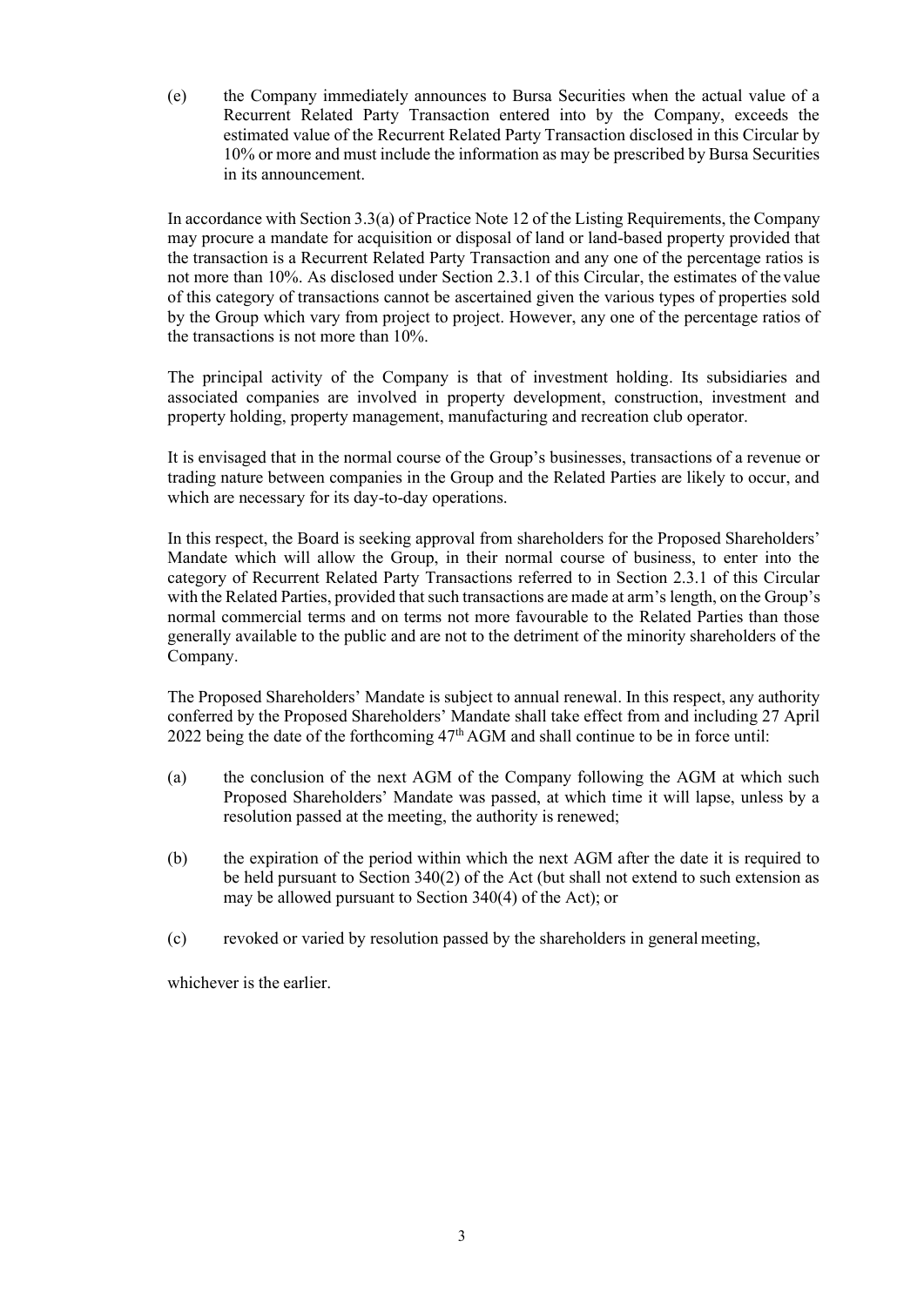(e) the Company immediately announces to Bursa Securities when the actual value of a Recurrent Related Party Transaction entered into by the Company, exceeds the estimated value of the Recurrent Related Party Transaction disclosed in this Circular by 10% or more and must include the information as may be prescribed by Bursa Securities in its announcement.

In accordance with Section 3.3(a) of Practice Note 12 of the Listing Requirements, the Company may procure a mandate for acquisition or disposal of land or land-based property provided that the transaction is a Recurrent Related Party Transaction and any one of the percentage ratios is not more than 10%. As disclosed under Section 2.3.1 of this Circular, the estimates of the value of this category of transactions cannot be ascertained given the various types of properties sold by the Group which vary from project to project. However, any one of the percentage ratios of the transactions is not more than 10%.

The principal activity of the Company is that of investment holding. Its subsidiaries and associated companies are involved in property development, construction, investment and property holding, property management, manufacturing and recreation club operator.

It is envisaged that in the normal course of the Group's businesses, transactions of a revenue or trading nature between companies in the Group and the Related Parties are likely to occur, and which are necessary for its day-to-day operations.

In this respect, the Board is seeking approval from shareholders for the Proposed Shareholders' Mandate which will allow the Group, in their normal course of business, to enter into the category of Recurrent Related Party Transactions referred to in Section 2.3.1 of this Circular with the Related Parties, provided that such transactions are made at arm's length, on the Group's normal commercial terms and on terms not more favourable to the Related Parties than those generally available to the public and are not to the detriment of the minority shareholders of the Company.

The Proposed Shareholders' Mandate is subject to annual renewal. In this respect, any authority conferred by the Proposed Shareholders' Mandate shall take effect from and including 27 April 2022 being the date of the forthcoming  $47<sup>th</sup>$  AGM and shall continue to be in force until:

- (a) the conclusion of the next AGM of the Company following the AGM at which such Proposed Shareholders' Mandate was passed, at which time it will lapse, unless by a resolution passed at the meeting, the authority is renewed;
- (b) the expiration of the period within which the next AGM after the date it is required to be held pursuant to Section 340(2) of the Act (but shall not extend to such extension as may be allowed pursuant to Section 340(4) of the Act); or
- (c) revoked or varied by resolution passed by the shareholders in general meeting,

whichever is the earlier.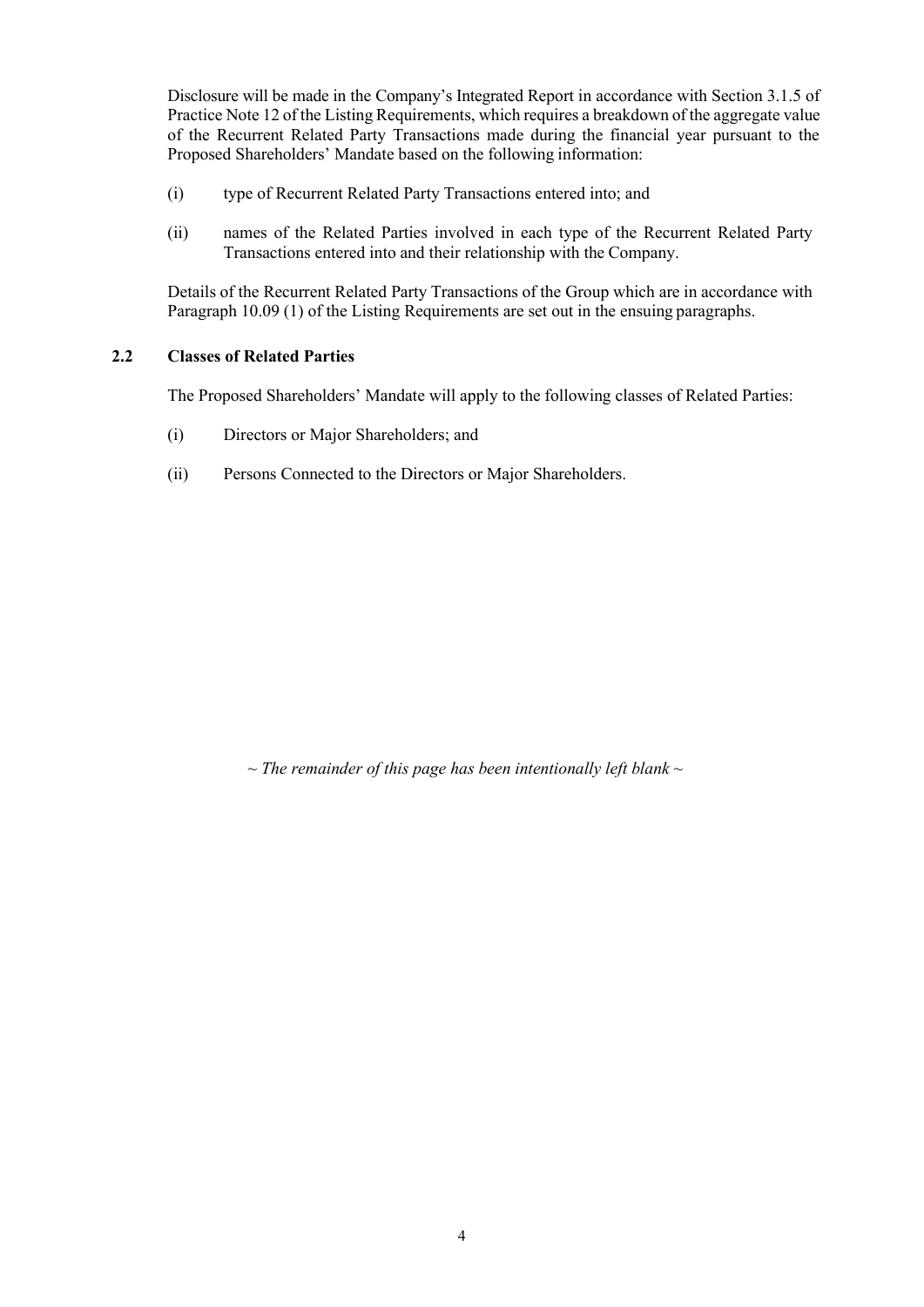Disclosure will be made in the Company's Integrated Report in accordance with Section 3.1.5 of Practice Note 12 of the Listing Requirements, which requires a breakdown of the aggregate value of the Recurrent Related Party Transactions made during the financial year pursuant to the Proposed Shareholders' Mandate based on the following information:

- (i) type of Recurrent Related Party Transactions entered into; and
- (ii) names of the Related Parties involved in each type of the Recurrent Related Party Transactions entered into and their relationship with the Company.

Details of the Recurrent Related Party Transactions of the Group which are in accordance with Paragraph 10.09 (1) of the Listing Requirements are set out in the ensuing paragraphs.

#### **2.2 Classes of Related Parties**

The Proposed Shareholders' Mandate will apply to the following classes of Related Parties:

- (i) Directors or Major Shareholders; and
- (ii) Persons Connected to the Directors or Major Shareholders.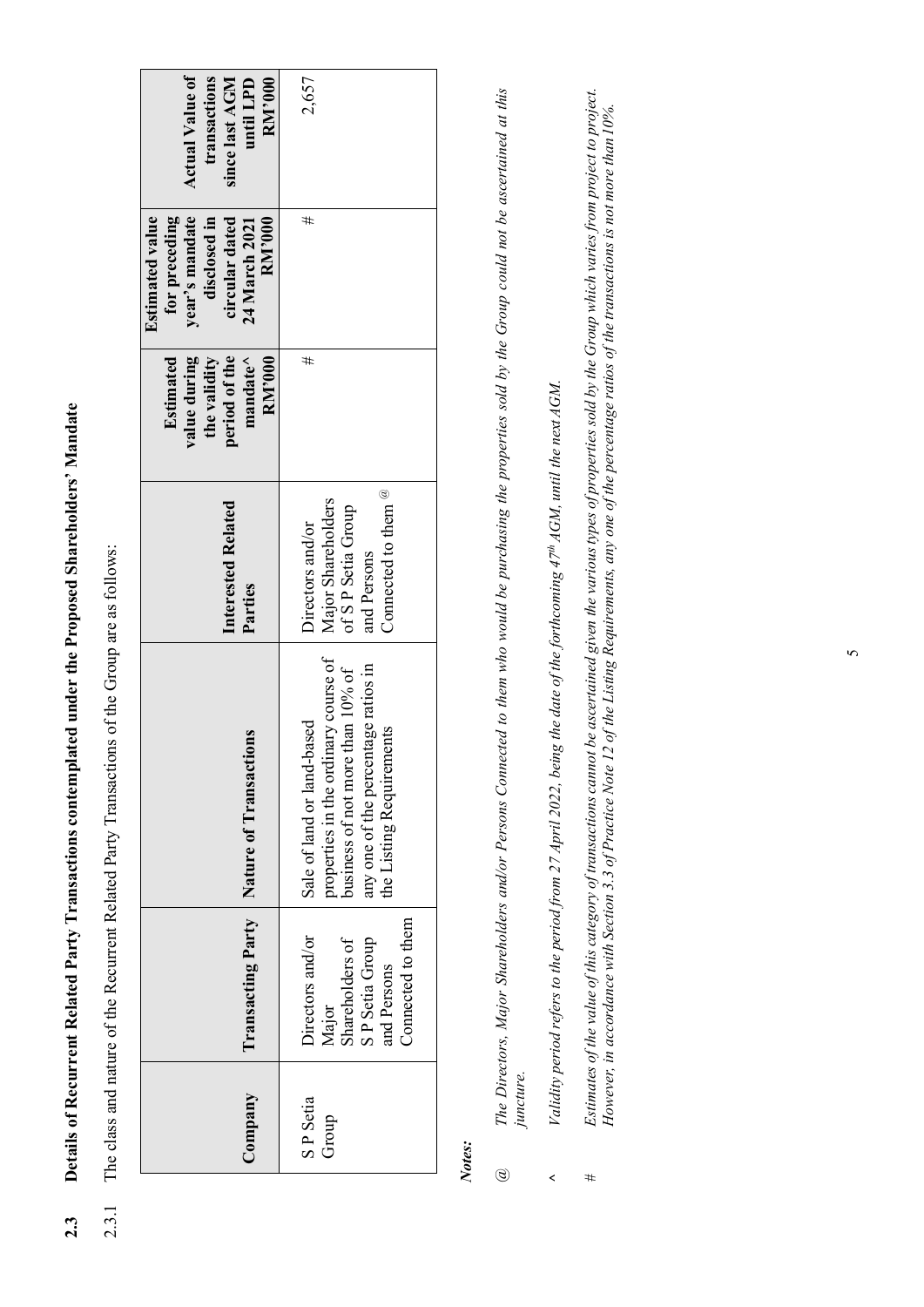Details of Recurrent Related Party Transactions contemplated under the Proposed Shareholders' Mandate **2.3 Details of Recurrent Related Party Transactions contemplated under the Proposed Shareholders' Mandate**  $2.3$ 

The class and nature of the Recurrent Related Party Transactions of the Group are as follows: 2.3.1 The class and nature of the Recurrent Related Party Transactions of the Group are as follows:  $2.3.1$ 

| <b>Actual Value of</b><br>transactions<br>since last AGM<br><b>RM'000</b><br>until LPD                                 | 2,657                                                                                                                                                                     |
|------------------------------------------------------------------------------------------------------------------------|---------------------------------------------------------------------------------------------------------------------------------------------------------------------------|
| year's mandate<br><b>Estimated value</b><br>for preceding<br>disclosed in<br>circular dated<br>24 March 2021<br>RM'000 | #                                                                                                                                                                         |
| value during<br>period of the<br>Estimated<br>$mandate^{\wedge}$<br>the validity<br>RM'000                             | #                                                                                                                                                                         |
| <b>Interested Related</b><br>Parties                                                                                   | Connected to them ${}^@$<br>Major Shareholders<br>of S P Setia Group<br>Directors and/or<br>and Persons                                                                   |
| tions<br>Transacting Party   Nature of Transact                                                                        | properties in the ordinary course of<br>any one of the percentage ratios in<br>business of not more than 10% of<br>Sale of land or land-based<br>the Listing Requirements |
|                                                                                                                        | Connected to them<br>Directors and/or<br>Shareholders of<br>SP Setia Group<br>and Persons<br>Major                                                                        |
| Company                                                                                                                | SP Setia<br>Group                                                                                                                                                         |

# *Notes:*

- The Directors, Major Shareholders and/or Persons Connected to them who would be purchasing the properties sold by the Group could not be ascertained at this *The Directors, Major Shareholders and/or Persons Connected to them who would be purchasing the properties sold by the Group could not be ascertained at this juncture. @*
- Validity period refers to the period from 27 April 2022, being the date of the forthcoming 47<sup>th</sup> AGM, until the next AGM. *Validity period refers to the period from 27 April 2022, being the date of the forthcoming 47th AGM, until the next AGM.* **^**
- Estimates of the value of this category of transactions cannot be ascertained given the various types of properties sold by the Group which varies from project to project.  $Bsinmates$  of the value of this category of transactions cannot be ascertained given the various types of properties sold by the Group which varies from project to project. However, in accordance with Section 3.3 of Practice Note 12 of the Listing Requirements, any one of the percentage ratios of the transactions is not more than 10%. *However, in accordance with Section 3.3 of Practice Note 12 of the Listing Requirements, any one of the percentage ratios of the transactions is not more than 10%. #*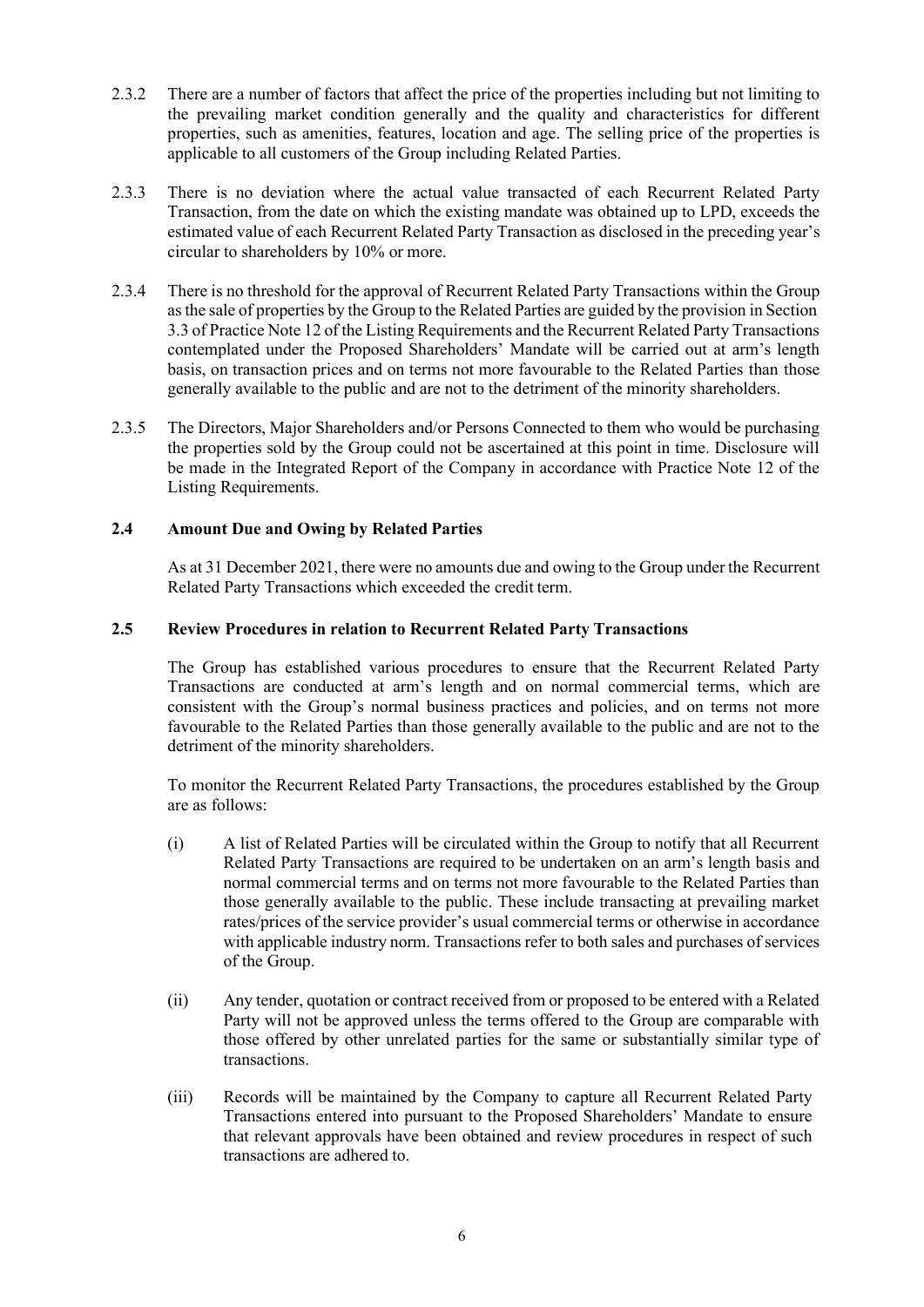- 2.3.2 There are a number of factors that affect the price of the properties including but not limiting to the prevailing market condition generally and the quality and characteristics for different properties, such as amenities, features, location and age. The selling price of the properties is applicable to all customers of the Group including Related Parties.
- 2.3.3 There is no deviation where the actual value transacted of each Recurrent Related Party Transaction, from the date on which the existing mandate was obtained up to LPD, exceeds the estimated value of each Recurrent Related Party Transaction as disclosed in the preceding year's circular to shareholders by 10% or more.
- 2.3.4 There is no threshold for the approval of Recurrent Related Party Transactions within the Group asthe sale of properties by the Group to the Related Parties are guided by the provision in Section 3.3 of Practice Note 12 of the Listing Requirements and the Recurrent Related Party Transactions contemplated under the Proposed Shareholders' Mandate will be carried out at arm's length basis, on transaction prices and on terms not more favourable to the Related Parties than those generally available to the public and are not to the detriment of the minority shareholders.
- 2.3.5 The Directors, Major Shareholders and/or Persons Connected to them who would be purchasing the properties sold by the Group could not be ascertained at this point in time. Disclosure will be made in the Integrated Report of the Company in accordance with Practice Note 12 of the Listing Requirements.

#### **2.4 Amount Due and Owing by Related Parties**

As at 31 December 2021, there were no amounts due and owing to the Group under the Recurrent Related Party Transactions which exceeded the credit term.

#### **2.5 Review Procedures in relation to Recurrent Related Party Transactions**

The Group has established various procedures to ensure that the Recurrent Related Party Transactions are conducted at arm's length and on normal commercial terms, which are consistent with the Group's normal business practices and policies, and on terms not more favourable to the Related Parties than those generally available to the public and are not to the detriment of the minority shareholders.

To monitor the Recurrent Related Party Transactions, the procedures established by the Group are as follows:

- (i) A list of Related Parties will be circulated within the Group to notify that all Recurrent Related Party Transactions are required to be undertaken on an arm's length basis and normal commercial terms and on terms not more favourable to the Related Parties than those generally available to the public. These include transacting at prevailing market rates/prices of the service provider's usual commercial terms or otherwise in accordance with applicable industry norm. Transactions refer to both sales and purchases of services of the Group.
- (ii) Any tender, quotation or contract received from or proposed to be entered with a Related Party will not be approved unless the terms offered to the Group are comparable with those offered by other unrelated parties for the same or substantially similar type of transactions.
- (iii) Records will be maintained by the Company to capture all Recurrent Related Party Transactions entered into pursuant to the Proposed Shareholders' Mandate to ensure that relevant approvals have been obtained and review procedures in respect of such transactions are adhered to.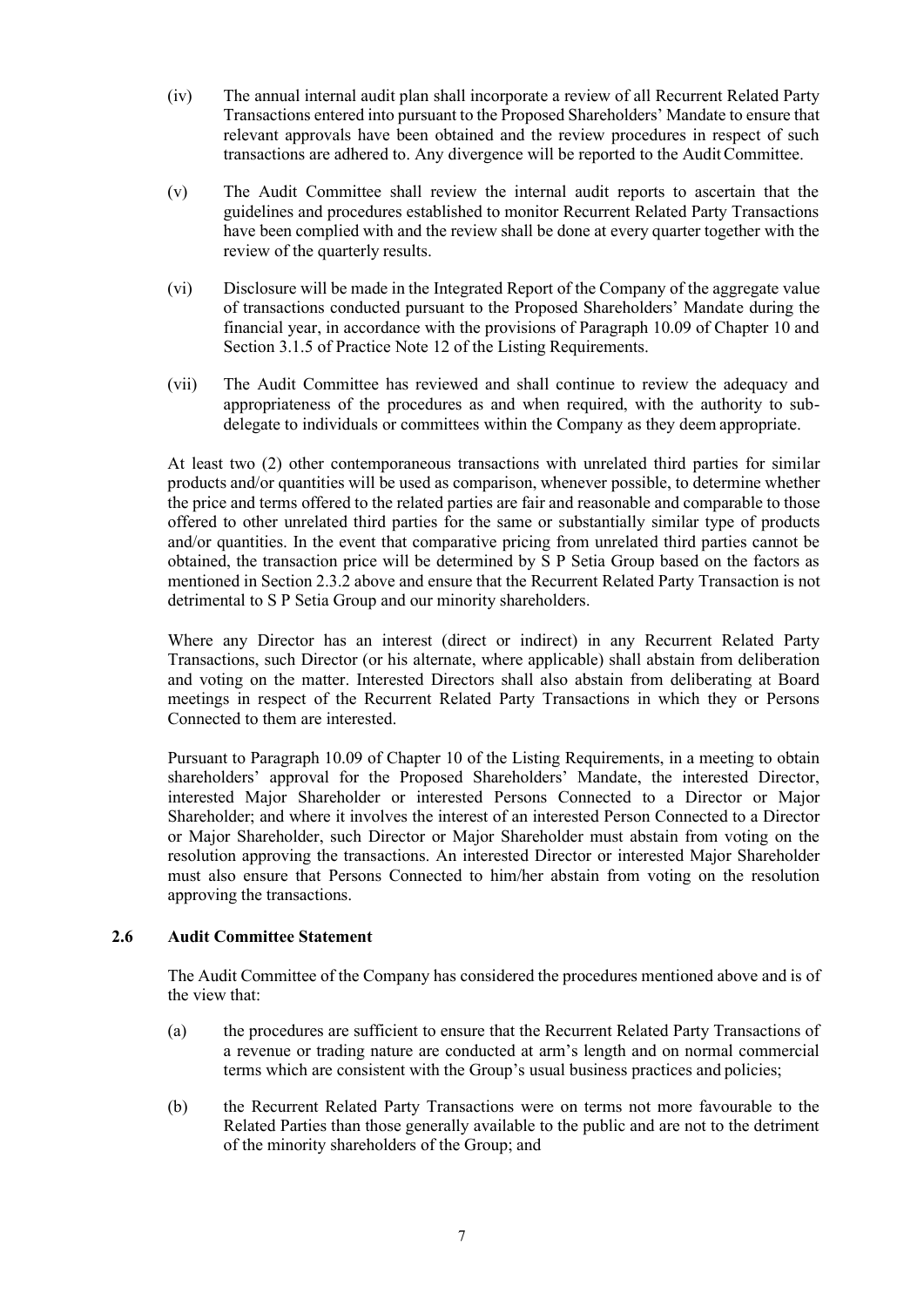- (iv) The annual internal audit plan shall incorporate a review of all Recurrent Related Party Transactions entered into pursuant to the Proposed Shareholders' Mandate to ensure that relevant approvals have been obtained and the review procedures in respect of such transactions are adhered to. Any divergence will be reported to the AuditCommittee.
- (v) The Audit Committee shall review the internal audit reports to ascertain that the guidelines and procedures established to monitor Recurrent Related Party Transactions have been complied with and the review shall be done at every quarter together with the review of the quarterly results.
- (vi) Disclosure will be made in the Integrated Report of the Company of the aggregate value of transactions conducted pursuant to the Proposed Shareholders' Mandate during the financial year, in accordance with the provisions of Paragraph 10.09 of Chapter 10 and Section 3.1.5 of Practice Note 12 of the Listing Requirements.
- (vii) The Audit Committee has reviewed and shall continue to review the adequacy and appropriateness of the procedures as and when required, with the authority to subdelegate to individuals or committees within the Company as they deem appropriate.

At least two (2) other contemporaneous transactions with unrelated third parties for similar products and/or quantities will be used as comparison, whenever possible, to determine whether the price and terms offered to the related parties are fair and reasonable and comparable to those offered to other unrelated third parties for the same or substantially similar type of products and/or quantities. In the event that comparative pricing from unrelated third parties cannot be obtained, the transaction price will be determined by S P Setia Group based on the factors as mentioned in Section 2.3.2 above and ensure that the Recurrent Related Party Transaction is not detrimental to S P Setia Group and our minority shareholders.

Where any Director has an interest (direct or indirect) in any Recurrent Related Party Transactions, such Director (or his alternate, where applicable) shall abstain from deliberation and voting on the matter. Interested Directors shall also abstain from deliberating at Board meetings in respect of the Recurrent Related Party Transactions in which they or Persons Connected to them are interested.

Pursuant to Paragraph 10.09 of Chapter 10 of the Listing Requirements, in a meeting to obtain shareholders' approval for the Proposed Shareholders' Mandate, the interested Director, interested Major Shareholder or interested Persons Connected to a Director or Major Shareholder; and where it involves the interest of an interested Person Connected to a Director or Major Shareholder, such Director or Major Shareholder must abstain from voting on the resolution approving the transactions. An interested Director or interested Major Shareholder must also ensure that Persons Connected to him/her abstain from voting on the resolution approving the transactions.

#### **2.6 Audit Committee Statement**

The Audit Committee of the Company has considered the procedures mentioned above and is of the view that:

- (a) the procedures are sufficient to ensure that the Recurrent Related Party Transactions of a revenue or trading nature are conducted at arm's length and on normal commercial terms which are consistent with the Group's usual business practices and policies;
- (b) the Recurrent Related Party Transactions were on terms not more favourable to the Related Parties than those generally available to the public and are not to the detriment of the minority shareholders of the Group; and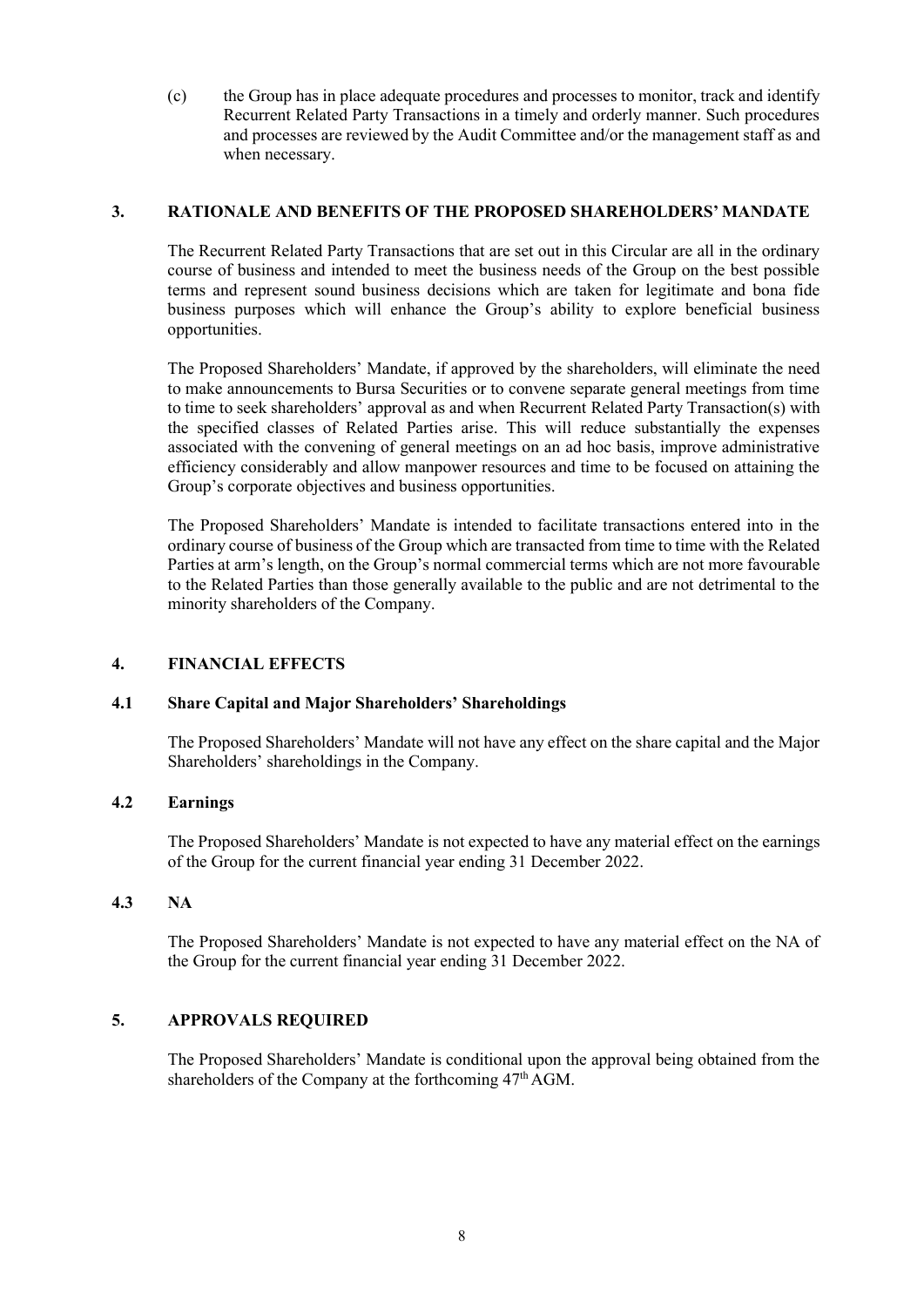(c) the Group has in place adequate procedures and processes to monitor, track and identify Recurrent Related Party Transactions in a timely and orderly manner. Such procedures and processes are reviewed by the Audit Committee and/or the management staff as and when necessary.

#### **3. RATIONALE AND BENEFITS OF THE PROPOSED SHAREHOLDERS' MANDATE**

The Recurrent Related Party Transactions that are set out in this Circular are all in the ordinary course of business and intended to meet the business needs of the Group on the best possible terms and represent sound business decisions which are taken for legitimate and bona fide business purposes which will enhance the Group's ability to explore beneficial business opportunities.

The Proposed Shareholders' Mandate, if approved by the shareholders, will eliminate the need to make announcements to Bursa Securities or to convene separate general meetings from time to time to seek shareholders' approval as and when Recurrent Related Party Transaction(s) with the specified classes of Related Parties arise. This will reduce substantially the expenses associated with the convening of general meetings on an ad hoc basis, improve administrative efficiency considerably and allow manpower resources and time to be focused on attaining the Group's corporate objectives and business opportunities.

The Proposed Shareholders' Mandate is intended to facilitate transactions entered into in the ordinary course of business of the Group which are transacted from time to time with the Related Parties at arm's length, on the Group's normal commercial terms which are not more favourable to the Related Parties than those generally available to the public and are not detrimental to the minority shareholders of the Company.

#### **4. FINANCIAL EFFECTS**

#### **4.1 Share Capital and Major Shareholders' Shareholdings**

The Proposed Shareholders' Mandate will not have any effect on the share capital and the Major Shareholders' shareholdings in the Company.

#### **4.2 Earnings**

The Proposed Shareholders' Mandate is not expected to have any material effect on the earnings of the Group for the current financial year ending 31 December 2022.

#### **4.3 NA**

The Proposed Shareholders' Mandate is not expected to have any material effect on the NA of the Group for the current financial year ending 31 December 2022.

#### **5. APPROVALS REQUIRED**

The Proposed Shareholders' Mandate is conditional upon the approval being obtained from the shareholders of the Company at the forthcoming  $47<sup>th</sup>$  AGM.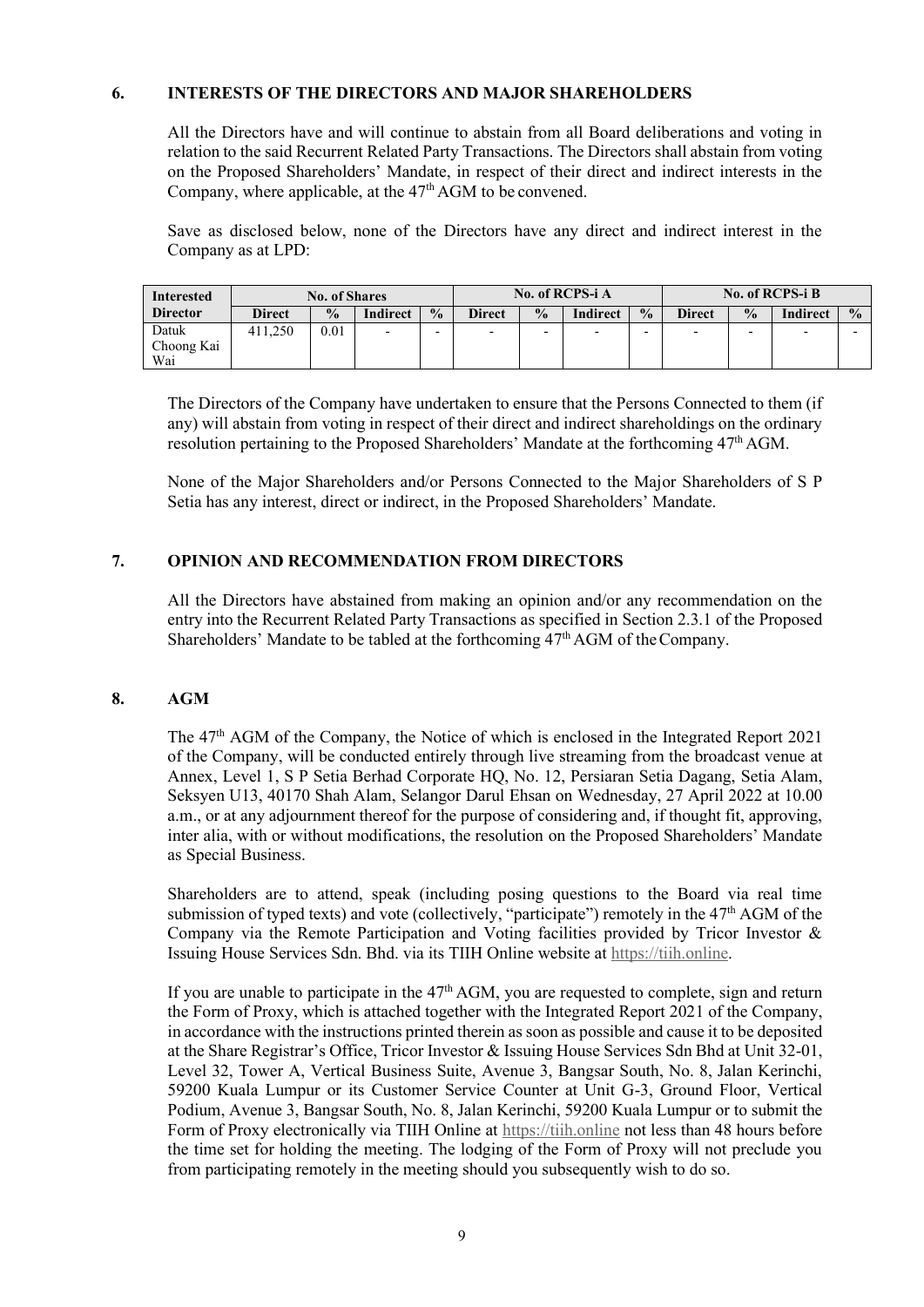#### **6. INTERESTS OF THE DIRECTORS AND MAJOR SHAREHOLDERS**

All the Directors have and will continue to abstain from all Board deliberations and voting in relation to the said Recurrent Related Party Transactions. The Directors shall abstain from voting on the Proposed Shareholders' Mandate, in respect of their direct and indirect interests in the Company, where applicable, at the 47<sup>th</sup> AGM to be convened.

Save as disclosed below, none of the Directors have any direct and indirect interest in the Company as at LPD:

| Interested                 |         | <b>No. of Shares</b> | No. of RCPS-i A |               |               |               | <b>No. of RCPS-i B</b>   |               |                          |                          |                 |               |
|----------------------------|---------|----------------------|-----------------|---------------|---------------|---------------|--------------------------|---------------|--------------------------|--------------------------|-----------------|---------------|
| <b>Director</b>            | Direct  | $\frac{0}{0}$        | <b>Indirect</b> | $\frac{0}{0}$ | <b>Direct</b> | $\frac{0}{0}$ | <b>Indirect</b>          | $\frac{0}{0}$ | <b>Direct</b>            | $\frac{0}{0}$            | <b>Indirect</b> | $\frac{0}{0}$ |
| Datuk<br>Choong Kai<br>Wai | 411.250 | 0.01                 | -               | ۰             | -             | -             | $\overline{\phantom{0}}$ | -             | $\overline{\phantom{0}}$ | $\overline{\phantom{0}}$ |                 |               |

The Directors of the Company have undertaken to ensure that the Persons Connected to them (if any) will abstain from voting in respect of their direct and indirect shareholdings on the ordinary resolution pertaining to the Proposed Shareholders' Mandate at the forthcoming  $47<sup>th</sup>$  AGM.

None of the Major Shareholders and/or Persons Connected to the Major Shareholders of S P Setia has any interest, direct or indirect, in the Proposed Shareholders' Mandate.

#### **7. OPINION AND RECOMMENDATION FROM DIRECTORS**

All the Directors have abstained from making an opinion and/or any recommendation on the entry into the Recurrent Related Party Transactions as specified in Section 2.3.1 of the Proposed Shareholders' Mandate to be tabled at the forthcoming  $47<sup>th</sup>$  AGM of the Company.

#### **8. AGM**

The 47th AGM of the Company, the Notice of which is enclosed in the Integrated Report 2021 of the Company, will be conducted entirely through live streaming from the broadcast venue at Annex, Level 1, S P Setia Berhad Corporate HQ, No. 12, Persiaran Setia Dagang, Setia Alam, Seksyen U13, 40170 Shah Alam, Selangor Darul Ehsan on Wednesday, 27 April 2022 at 10.00 a.m., or at any adjournment thereof for the purpose of considering and, if thought fit, approving, inter alia, with or without modifications, the resolution on the Proposed Shareholders' Mandate as Special Business.

Shareholders are to attend, speak (including posing questions to the Board via real time submission of typed texts) and vote (collectively, "participate") remotely in the 47<sup>th</sup> AGM of the Company via the Remote Participation and Voting facilities provided by Tricor Investor & Issuing House Services Sdn. Bhd. via its TIIH Online website at https://tiih.online.

If you are unable to participate in the  $47<sup>th</sup>$  AGM, you are requested to complete, sign and return the Form of Proxy, which is attached together with the Integrated Report 2021 of the Company, in accordance with the instructions printed therein as soon as possible and cause it to be deposited at the Share Registrar's Office, Tricor Investor & Issuing House Services Sdn Bhd at Unit 32-01, Level 32, Tower A, Vertical Business Suite, Avenue 3, Bangsar South, No. 8, Jalan Kerinchi, 59200 Kuala Lumpur or its Customer Service Counter at Unit G-3, Ground Floor, Vertical Podium, Avenue 3, Bangsar South, No. 8, Jalan Kerinchi, 59200 Kuala Lumpur or to submit the Form of Proxy electronically via TIIH Online at https://tiih.online not less than 48 hours before the time set for holding the meeting. The lodging of the Form of Proxy will not preclude you from participating remotely in the meeting should you subsequently wish to do so.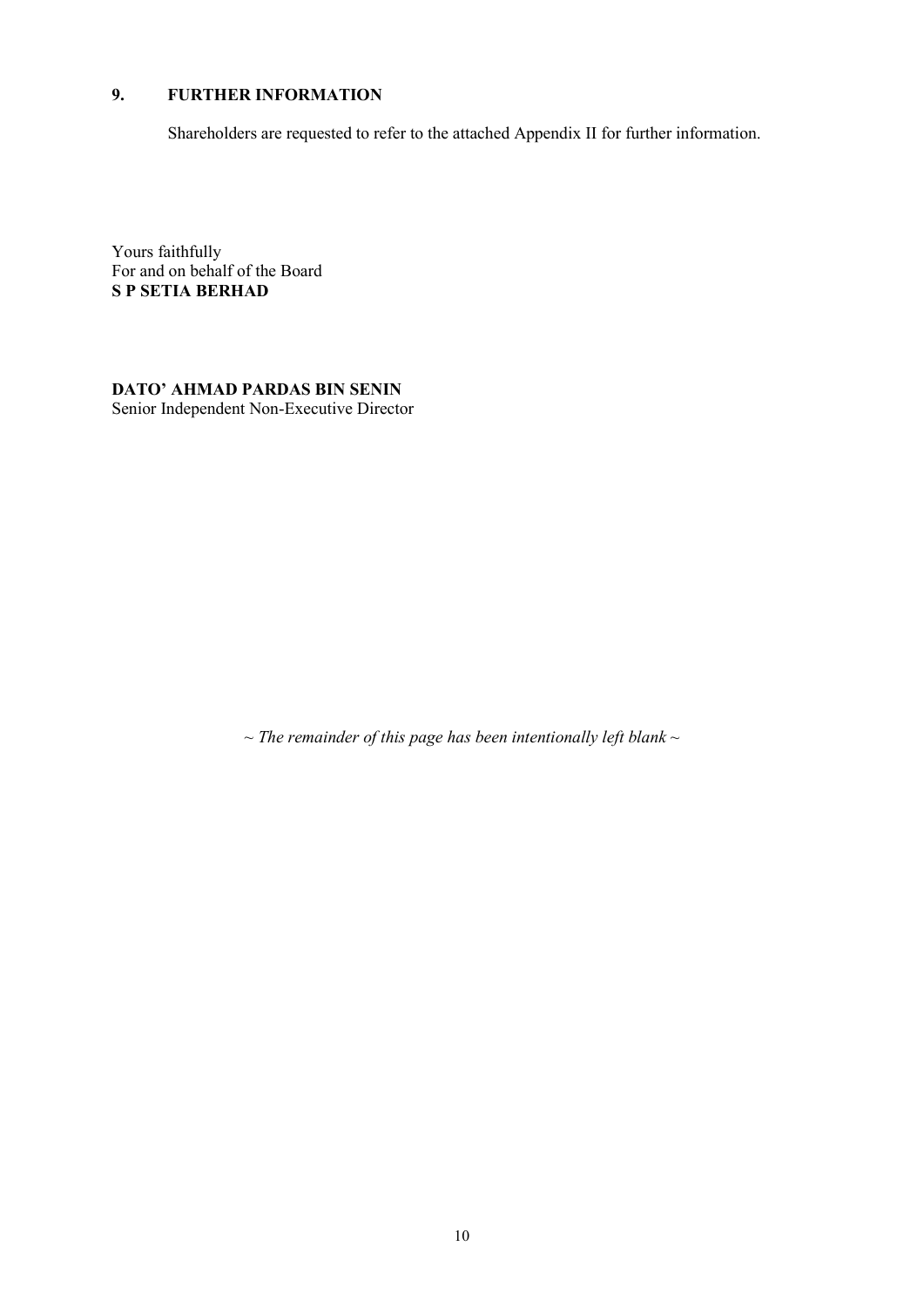## **9. FURTHER INFORMATION**

Shareholders are requested to refer to the attached Appendix II for further information.

Yours faithfully For and on behalf of the Board **S P SETIA BERHAD**

**DATO' AHMAD PARDAS BIN SENIN** Senior Independent Non-Executive Director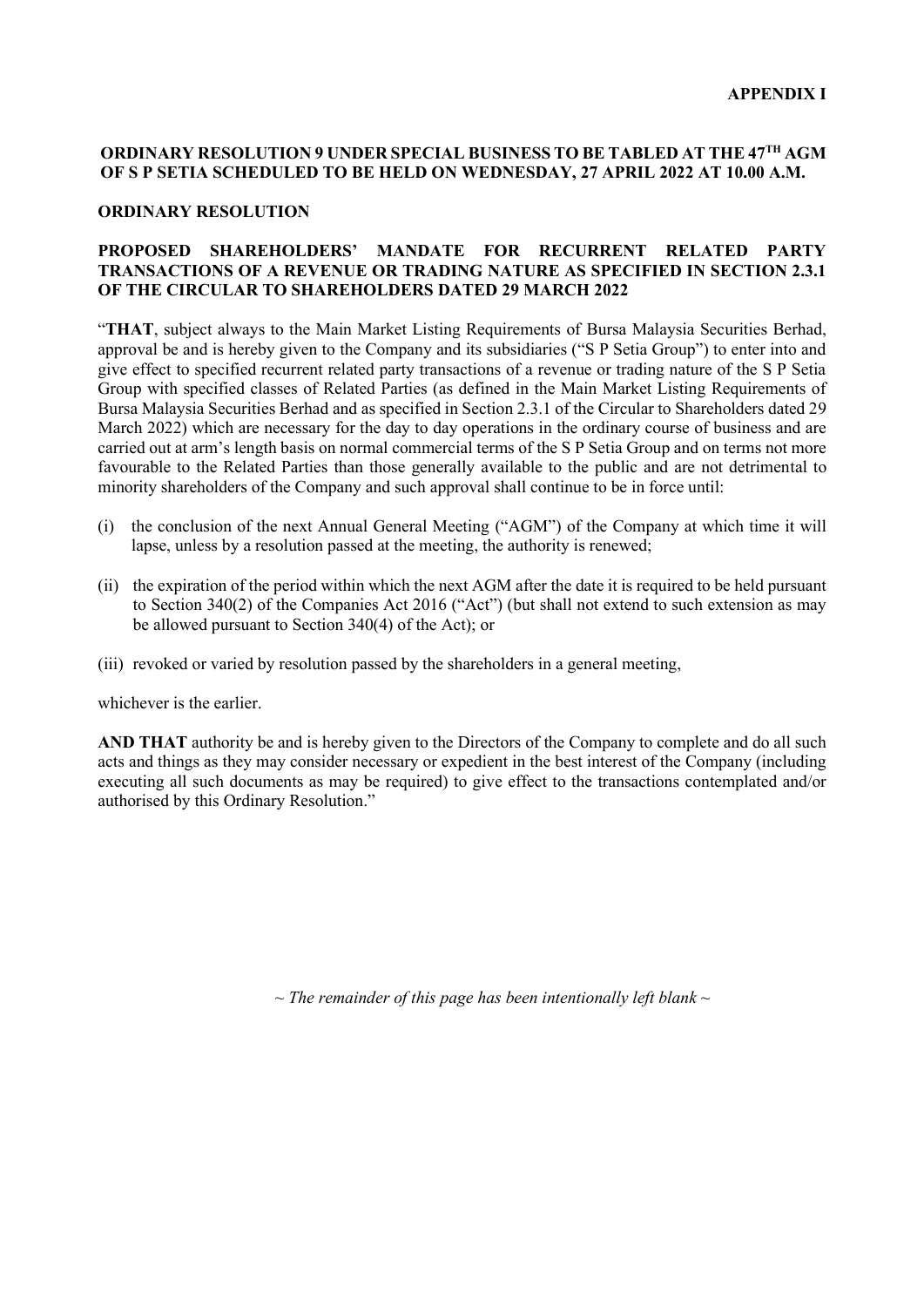### **ORDINARY RESOLUTION 9 UNDER SPECIAL BUSINESS TO BE TABLED AT THE 47TH AGM OF S P SETIA SCHEDULED TO BE HELD ON WEDNESDAY, 27 APRIL 2022 AT 10.00 A.M.**

#### **ORDINARY RESOLUTION**

#### **PROPOSED SHAREHOLDERS' MANDATE FOR RECURRENT RELATED PARTY TRANSACTIONS OF A REVENUE OR TRADING NATURE AS SPECIFIED IN SECTION 2.3.1 OF THE CIRCULAR TO SHAREHOLDERS DATED 29 MARCH 2022**

"**THAT**, subject always to the Main Market Listing Requirements of Bursa Malaysia Securities Berhad, approval be and is hereby given to the Company and its subsidiaries ("S P Setia Group") to enter into and give effect to specified recurrent related party transactions of a revenue or trading nature of the S P Setia Group with specified classes of Related Parties (as defined in the Main Market Listing Requirements of Bursa Malaysia Securities Berhad and as specified in Section 2.3.1 of the Circular to Shareholders dated 29 March 2022) which are necessary for the day to day operations in the ordinary course of business and are carried out at arm's length basis on normal commercial terms of the S P Setia Group and on terms not more favourable to the Related Parties than those generally available to the public and are not detrimental to minority shareholders of the Company and such approval shall continue to be in force until:

- (i) the conclusion of the next Annual General Meeting ("AGM") of the Company at which time it will lapse, unless by a resolution passed at the meeting, the authority is renewed;
- (ii) the expiration of the period within which the next AGM after the date it is required to be held pursuant to Section 340(2) of the Companies Act 2016 ("Act") (but shall not extend to such extension as may be allowed pursuant to Section 340(4) of the Act); or
- (iii) revoked or varied by resolution passed by the shareholders in a general meeting,

whichever is the earlier.

**AND THAT** authority be and is hereby given to the Directors of the Company to complete and do all such acts and things as they may consider necessary or expedient in the best interest of the Company (including executing all such documents as may be required) to give effect to the transactions contemplated and/or authorised by this Ordinary Resolution."